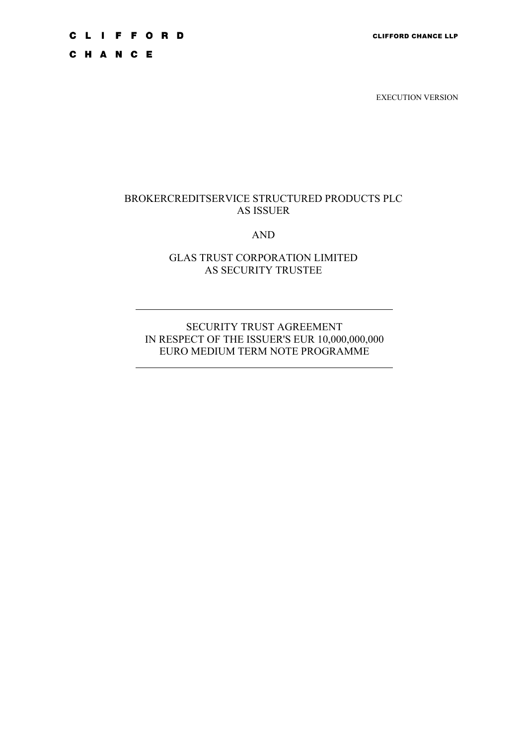# **CLIFFORD**

CHANCE

EXECUTION VERSION

#### BROKERCREDITSERVICE STRUCTURED PRODUCTS PLC AS ISSUER

#### AND

# GLAS TRUST CORPORATION LIMITED AS SECURITY TRUSTEE

# SECURITY TRUST AGREEMENT IN RESPECT OF THE ISSUER'S EUR 10,000,000,000 EURO MEDIUM TERM NOTE PROGRAMME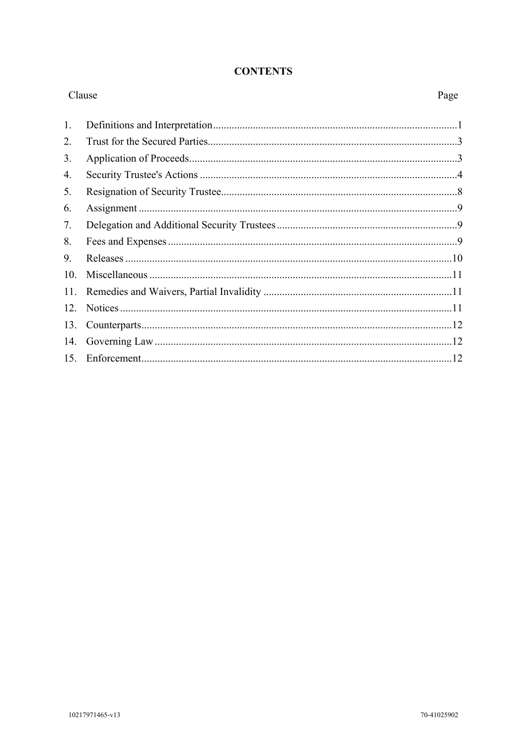#### **CONTENTS**

| Clause |  | Page |
|--------|--|------|
| 1.     |  |      |
| 2.     |  |      |
| 3.     |  |      |
| 4.     |  |      |
| 5.     |  |      |
| 6.     |  |      |
| 7.     |  |      |
| 8.     |  |      |
| 9.     |  |      |
| 10.    |  |      |
| 11.    |  |      |
| 12.    |  |      |
| 13.    |  |      |
| 14.    |  |      |
| 15.    |  |      |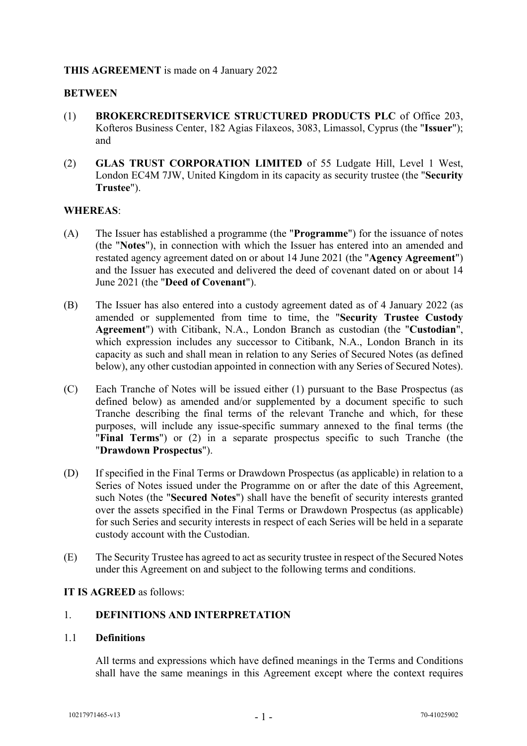# **THIS AGREEMENT** is made on 4 January 2022

#### **BETWEEN**

- (1) **BROKERCREDITSERVICE STRUCTURED PRODUCTS PLC** of Office 203, Kofteros Business Center, 182 Agias Filaxeos, 3083, Limassol, Cyprus (the "**Issuer**"); and
- (2) **GLAS TRUST CORPORATION LIMITED** of 55 Ludgate Hill, Level 1 West, London EC4M 7JW, United Kingdom in its capacity as security trustee (the "**Security Trustee**").

#### **WHEREAS**:

- (A) The Issuer has established a programme (the "**Programme**") for the issuance of notes (the "**Notes**"), in connection with which the Issuer has entered into an amended and restated agency agreement dated on or about 14 June 2021 (the "**Agency Agreement**") and the Issuer has executed and delivered the deed of covenant dated on or about 14 June 2021 (the "**Deed of Covenant**").
- (B) The Issuer has also entered into a custody agreement dated as of 4 January 2022 (as amended or supplemented from time to time, the "**Security Trustee Custody Agreement**") with Citibank, N.A., London Branch as custodian (the "**Custodian**", which expression includes any successor to Citibank, N.A., London Branch in its capacity as such and shall mean in relation to any Series of Secured Notes (as defined below), any other custodian appointed in connection with any Series of Secured Notes).
- (C) Each Tranche of Notes will be issued either (1) pursuant to the Base Prospectus (as defined below) as amended and/or supplemented by a document specific to such Tranche describing the final terms of the relevant Tranche and which, for these purposes, will include any issue-specific summary annexed to the final terms (the "**Final Terms**") or (2) in a separate prospectus specific to such Tranche (the "**Drawdown Prospectus**").
- (D) If specified in the Final Terms or Drawdown Prospectus (as applicable) in relation to a Series of Notes issued under the Programme on or after the date of this Agreement, such Notes (the "**Secured Notes**") shall have the benefit of security interests granted over the assets specified in the Final Terms or Drawdown Prospectus (as applicable) for such Series and security interests in respect of each Series will be held in a separate custody account with the Custodian.
- (E) The Security Trustee has agreed to act as security trustee in respect of the Secured Notes under this Agreement on and subject to the following terms and conditions.

#### **IT IS AGREED** as follows:

#### <span id="page-2-0"></span>1. **DEFINITIONS AND INTERPRETATION**

#### 1.1 **Definitions**

All terms and expressions which have defined meanings in the Terms and Conditions shall have the same meanings in this Agreement except where the context requires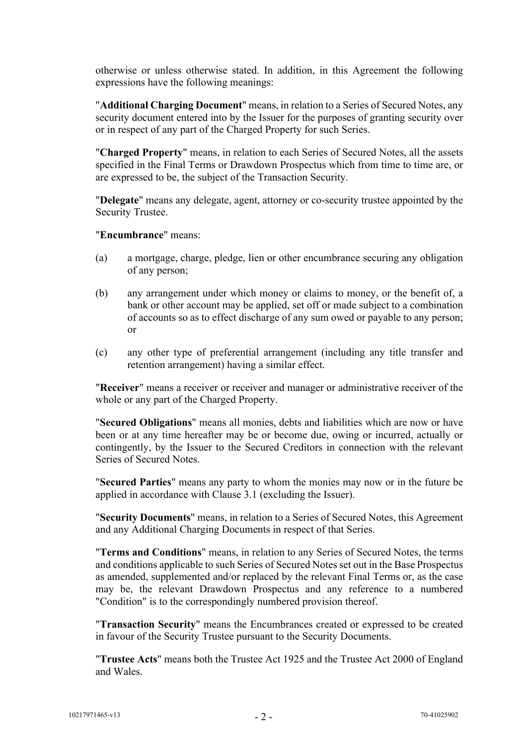otherwise or unless otherwise stated. In addition, in this Agreement the following expressions have the following meanings:

"**Additional Charging Document**" means, in relation to a Series of Secured Notes, any security document entered into by the Issuer for the purposes of granting security over or in respect of any part of the Charged Property for such Series.

"**Charged Property**" means, in relation to each Series of Secured Notes, all the assets specified in the Final Terms or Drawdown Prospectus which from time to time are, or are expressed to be, the subject of the Transaction Security.

"**Delegate**" means any delegate, agent, attorney or co-security trustee appointed by the Security Trustee.

"**Encumbrance**" means:

- (a) a mortgage, charge, pledge, lien or other encumbrance securing any obligation of any person;
- (b) any arrangement under which money or claims to money, or the benefit of, a bank or other account may be applied, set off or made subject to a combination of accounts so as to effect discharge of any sum owed or payable to any person; or
- (c) any other type of preferential arrangement (including any title transfer and retention arrangement) having a similar effect.

"**Receiver**" means a receiver or receiver and manager or administrative receiver of the whole or any part of the Charged Property.

"**Secured Obligations**" means all monies, debts and liabilities which are now or have been or at any time hereafter may be or become due, owing or incurred, actually or contingently, by the Issuer to the Secured Creditors in connection with the relevant Series of Secured Notes.

"**Secured Parties**" means any party to whom the monies may now or in the future be applied in accordance with Clause [3.1](#page-5-1) (excluding the Issuer).

"**Security Documents**" means, in relation to a Series of Secured Notes, this Agreement and any Additional Charging Documents in respect of that Series.

"**Terms and Conditions**" means, in relation to any Series of Secured Notes, the terms and conditions applicable to such Series of Secured Notes set out in the Base Prospectus as amended, supplemented and/or replaced by the relevant Final Terms or, as the case may be, the relevant Drawdown Prospectus and any reference to a numbered "Condition" is to the correspondingly numbered provision thereof.

"**Transaction Security**" means the Encumbrances created or expressed to be created in favour of the Security Trustee pursuant to the Security Documents.

"**Trustee Acts**" means both the Trustee Act 1925 and the Trustee Act 2000 of England and Wales.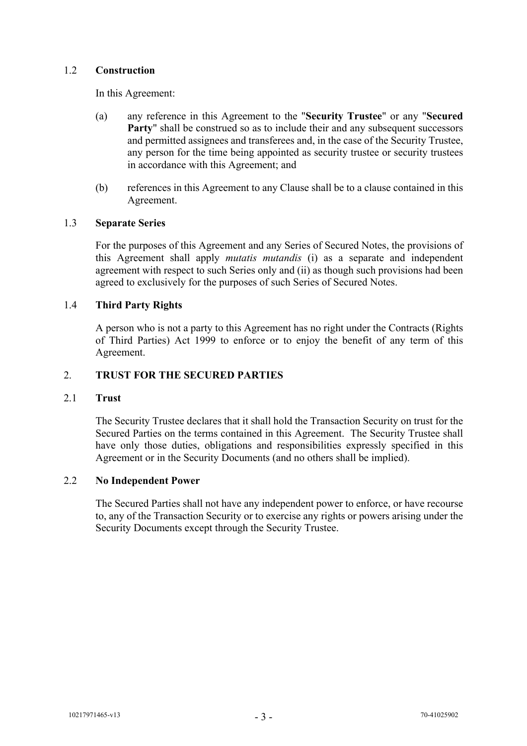# 1.2 **Construction**

In this Agreement:

- (a) any reference in this Agreement to the "**Security Trustee**" or any "**Secured Party**" shall be construed so as to include their and any subsequent successors and permitted assignees and transferees and, in the case of the Security Trustee, any person for the time being appointed as security trustee or security trustees in accordance with this Agreement; and
- (b) references in this Agreement to any Clause shall be to a clause contained in this Agreement.

# 1.3 **Separate Series**

For the purposes of this Agreement and any Series of Secured Notes, the provisions of this Agreement shall apply *mutatis mutandis* (i) as a separate and independent agreement with respect to such Series only and (ii) as though such provisions had been agreed to exclusively for the purposes of such Series of Secured Notes.

# 1.4 **Third Party Rights**

A person who is not a party to this Agreement has no right under the Contracts (Rights of Third Parties) Act 1999 to enforce or to enjoy the benefit of any term of this Agreement.

# <span id="page-4-0"></span>2. **TRUST FOR THE SECURED PARTIES**

#### 2.1 **Trust**

The Security Trustee declares that it shall hold the Transaction Security on trust for the Secured Parties on the terms contained in this Agreement. The Security Trustee shall have only those duties, obligations and responsibilities expressly specified in this Agreement or in the Security Documents (and no others shall be implied).

#### 2.2 **No Independent Power**

The Secured Parties shall not have any independent power to enforce, or have recourse to, any of the Transaction Security or to exercise any rights or powers arising under the Security Documents except through the Security Trustee.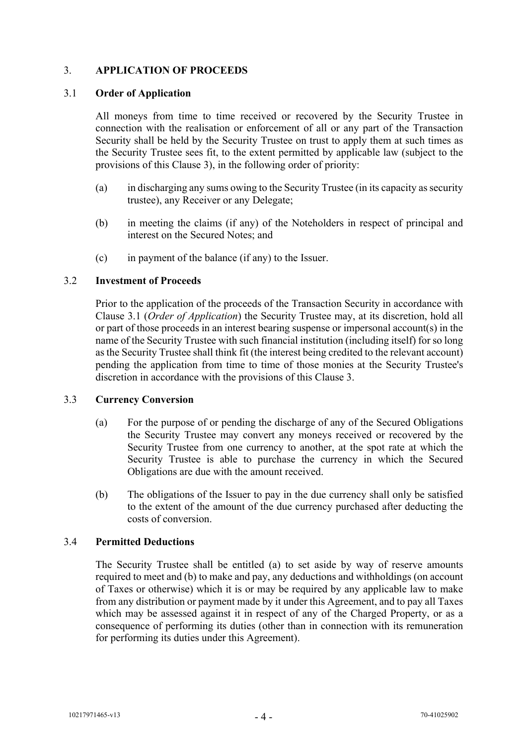# <span id="page-5-0"></span>3. **APPLICATION OF PROCEEDS**

#### <span id="page-5-1"></span>3.1 **Order of Application**

All moneys from time to time received or recovered by the Security Trustee in connection with the realisation or enforcement of all or any part of the Transaction Security shall be held by the Security Trustee on trust to apply them at such times as the Security Trustee sees fit, to the extent permitted by applicable law (subject to the provisions of this Clause [3\)](#page-5-0), in the following order of priority:

- (a) in discharging any sums owing to the Security Trustee (in its capacity as security trustee), any Receiver or any Delegate;
- (b) in meeting the claims (if any) of the Noteholders in respect of principal and interest on the Secured Notes; and
- (c) in payment of the balance (if any) to the Issuer.

#### 3.2 **Investment of Proceeds**

Prior to the application of the proceeds of the Transaction Security in accordance with Clause [3.1](#page-5-1) (*Order of Application*) the Security Trustee may, at its discretion, hold all or part of those proceeds in an interest bearing suspense or impersonal account(s) in the name of the Security Trustee with such financial institution (including itself) for so long as the Security Trustee shall think fit (the interest being credited to the relevant account) pending the application from time to time of those monies at the Security Trustee's discretion in accordance with the provisions of this Clause [3.](#page-5-0)

#### 3.3 **Currency Conversion**

- (a) For the purpose of or pending the discharge of any of the Secured Obligations the Security Trustee may convert any moneys received or recovered by the Security Trustee from one currency to another, at the spot rate at which the Security Trustee is able to purchase the currency in which the Secured Obligations are due with the amount received.
- (b) The obligations of the Issuer to pay in the due currency shall only be satisfied to the extent of the amount of the due currency purchased after deducting the costs of conversion.

#### 3.4 **Permitted Deductions**

The Security Trustee shall be entitled (a) to set aside by way of reserve amounts required to meet and (b) to make and pay, any deductions and withholdings (on account of Taxes or otherwise) which it is or may be required by any applicable law to make from any distribution or payment made by it under this Agreement, and to pay all Taxes which may be assessed against it in respect of any of the Charged Property, or as a consequence of performing its duties (other than in connection with its remuneration for performing its duties under this Agreement).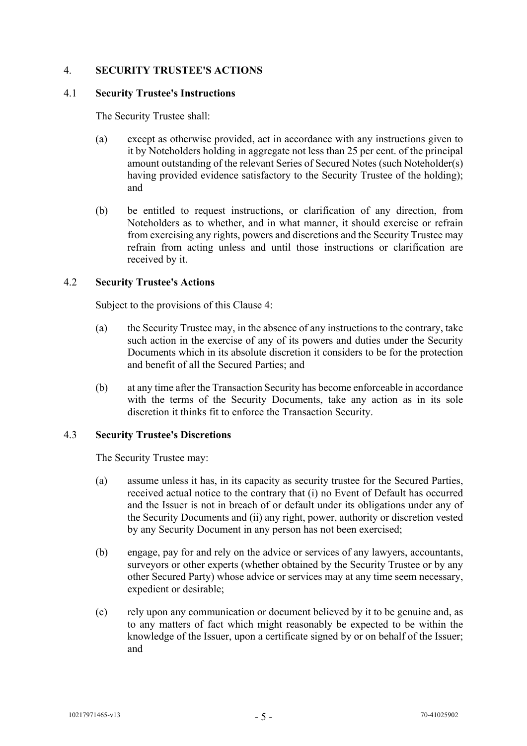# <span id="page-6-0"></span>4. **SECURITY TRUSTEE'S ACTIONS**

#### 4.1 **Security Trustee's Instructions**

The Security Trustee shall:

- (a) except as otherwise provided, act in accordance with any instructions given to it by Noteholders holding in aggregate not less than 25 per cent. of the principal amount outstanding of the relevant Series of Secured Notes (such Noteholder(s) having provided evidence satisfactory to the Security Trustee of the holding); and
- (b) be entitled to request instructions, or clarification of any direction, from Noteholders as to whether, and in what manner, it should exercise or refrain from exercising any rights, powers and discretions and the Security Trustee may refrain from acting unless and until those instructions or clarification are received by it.

#### 4.2 **Security Trustee's Actions**

Subject to the provisions of this Clause [4:](#page-6-0)

- (a) the Security Trustee may, in the absence of any instructions to the contrary, take such action in the exercise of any of its powers and duties under the Security Documents which in its absolute discretion it considers to be for the protection and benefit of all the Secured Parties; and
- (b) at any time after the Transaction Security has become enforceable in accordance with the terms of the Security Documents, take any action as in its sole discretion it thinks fit to enforce the Transaction Security.

#### 4.3 **Security Trustee's Discretions**

The Security Trustee may:

- (a) assume unless it has, in its capacity as security trustee for the Secured Parties, received actual notice to the contrary that (i) no Event of Default has occurred and the Issuer is not in breach of or default under its obligations under any of the Security Documents and (ii) any right, power, authority or discretion vested by any Security Document in any person has not been exercised;
- (b) engage, pay for and rely on the advice or services of any lawyers, accountants, surveyors or other experts (whether obtained by the Security Trustee or by any other Secured Party) whose advice or services may at any time seem necessary, expedient or desirable;
- (c) rely upon any communication or document believed by it to be genuine and, as to any matters of fact which might reasonably be expected to be within the knowledge of the Issuer, upon a certificate signed by or on behalf of the Issuer; and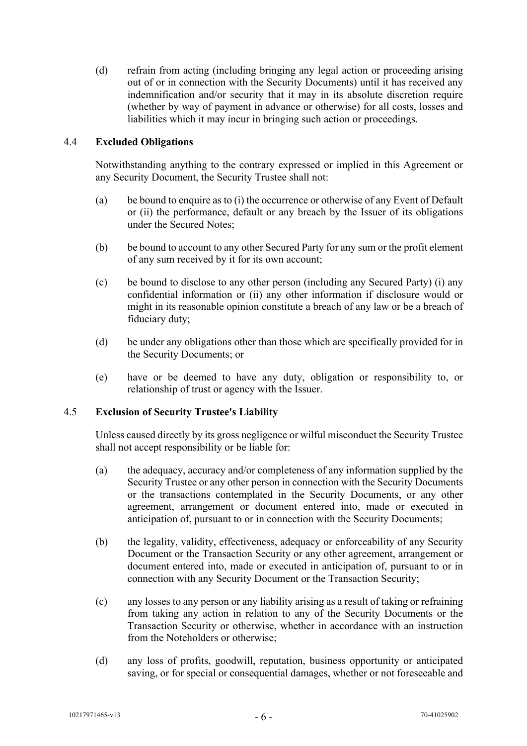(d) refrain from acting (including bringing any legal action or proceeding arising out of or in connection with the Security Documents) until it has received any indemnification and/or security that it may in its absolute discretion require (whether by way of payment in advance or otherwise) for all costs, losses and liabilities which it may incur in bringing such action or proceedings.

# 4.4 **Excluded Obligations**

Notwithstanding anything to the contrary expressed or implied in this Agreement or any Security Document, the Security Trustee shall not:

- (a) be bound to enquire as to (i) the occurrence or otherwise of any Event of Default or (ii) the performance, default or any breach by the Issuer of its obligations under the Secured Notes;
- (b) be bound to account to any other Secured Party for any sum or the profit element of any sum received by it for its own account;
- (c) be bound to disclose to any other person (including any Secured Party) (i) any confidential information or (ii) any other information if disclosure would or might in its reasonable opinion constitute a breach of any law or be a breach of fiduciary duty;
- (d) be under any obligations other than those which are specifically provided for in the Security Documents; or
- (e) have or be deemed to have any duty, obligation or responsibility to, or relationship of trust or agency with the Issuer.

#### 4.5 **Exclusion of Security Trustee's Liability**

Unless caused directly by its gross negligence or wilful misconduct the Security Trustee shall not accept responsibility or be liable for:

- (a) the adequacy, accuracy and/or completeness of any information supplied by the Security Trustee or any other person in connection with the Security Documents or the transactions contemplated in the Security Documents, or any other agreement, arrangement or document entered into, made or executed in anticipation of, pursuant to or in connection with the Security Documents;
- (b) the legality, validity, effectiveness, adequacy or enforceability of any Security Document or the Transaction Security or any other agreement, arrangement or document entered into, made or executed in anticipation of, pursuant to or in connection with any Security Document or the Transaction Security;
- (c) any losses to any person or any liability arising as a result of taking or refraining from taking any action in relation to any of the Security Documents or the Transaction Security or otherwise, whether in accordance with an instruction from the Noteholders or otherwise;
- (d) any loss of profits, goodwill, reputation, business opportunity or anticipated saving, or for special or consequential damages, whether or not foreseeable and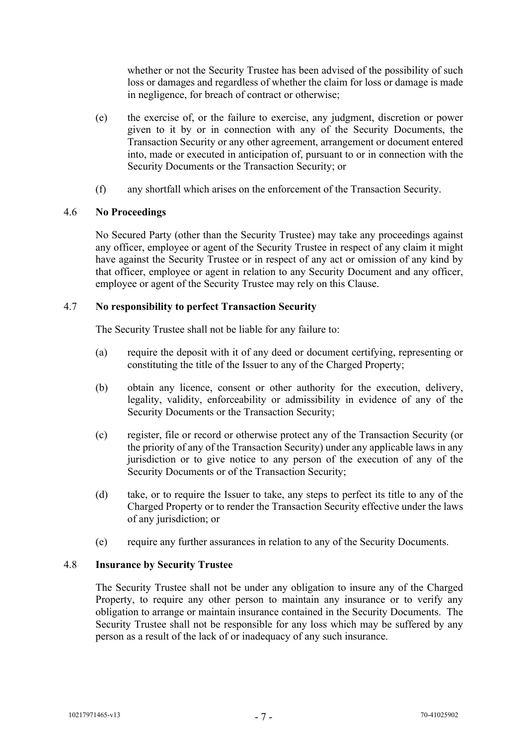whether or not the Security Trustee has been advised of the possibility of such loss or damages and regardless of whether the claim for loss or damage is made in negligence, for breach of contract or otherwise;

- (e) the exercise of, or the failure to exercise, any judgment, discretion or power given to it by or in connection with any of the Security Documents, the Transaction Security or any other agreement, arrangement or document entered into, made or executed in anticipation of, pursuant to or in connection with the Security Documents or the Transaction Security; or
- (f) any shortfall which arises on the enforcement of the Transaction Security.

# 4.6 **No Proceedings**

No Secured Party (other than the Security Trustee) may take any proceedings against any officer, employee or agent of the Security Trustee in respect of any claim it might have against the Security Trustee or in respect of any act or omission of any kind by that officer, employee or agent in relation to any Security Document and any officer, employee or agent of the Security Trustee may rely on this Clause.

# 4.7 **No responsibility to perfect Transaction Security**

The Security Trustee shall not be liable for any failure to:

- (a) require the deposit with it of any deed or document certifying, representing or constituting the title of the Issuer to any of the Charged Property;
- (b) obtain any licence, consent or other authority for the execution, delivery, legality, validity, enforceability or admissibility in evidence of any of the Security Documents or the Transaction Security;
- (c) register, file or record or otherwise protect any of the Transaction Security (or the priority of any of the Transaction Security) under any applicable laws in any jurisdiction or to give notice to any person of the execution of any of the Security Documents or of the Transaction Security;
- (d) take, or to require the Issuer to take, any steps to perfect its title to any of the Charged Property or to render the Transaction Security effective under the laws of any jurisdiction; or
- (e) require any further assurances in relation to any of the Security Documents.

# 4.8 **Insurance by Security Trustee**

The Security Trustee shall not be under any obligation to insure any of the Charged Property, to require any other person to maintain any insurance or to verify any obligation to arrange or maintain insurance contained in the Security Documents. The Security Trustee shall not be responsible for any loss which may be suffered by any person as a result of the lack of or inadequacy of any such insurance.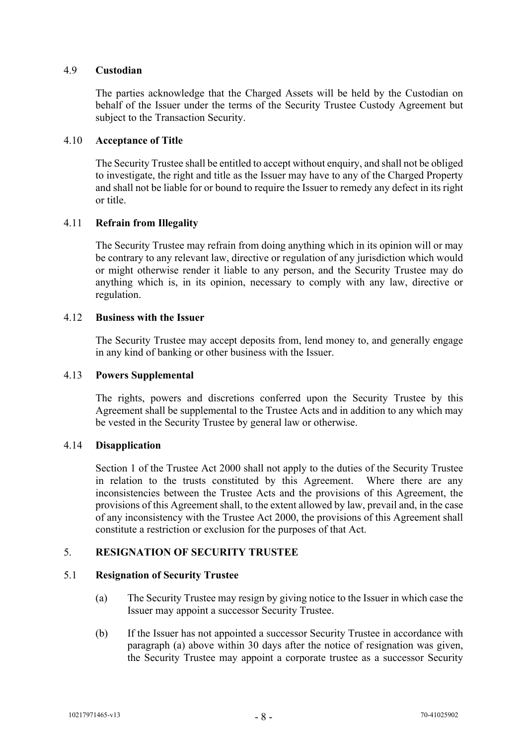#### 4.9 **Custodian**

The parties acknowledge that the Charged Assets will be held by the Custodian on behalf of the Issuer under the terms of the Security Trustee Custody Agreement but subject to the Transaction Security.

#### 4.10 **Acceptance of Title**

The Security Trustee shall be entitled to accept without enquiry, and shall not be obliged to investigate, the right and title as the Issuer may have to any of the Charged Property and shall not be liable for or bound to require the Issuer to remedy any defect in its right or title.

# 4.11 **Refrain from Illegality**

The Security Trustee may refrain from doing anything which in its opinion will or may be contrary to any relevant law, directive or regulation of any jurisdiction which would or might otherwise render it liable to any person, and the Security Trustee may do anything which is, in its opinion, necessary to comply with any law, directive or regulation.

#### 4.12 **Business with the Issuer**

The Security Trustee may accept deposits from, lend money to, and generally engage in any kind of banking or other business with the Issuer.

#### 4.13 **Powers Supplemental**

The rights, powers and discretions conferred upon the Security Trustee by this Agreement shall be supplemental to the Trustee Acts and in addition to any which may be vested in the Security Trustee by general law or otherwise.

#### 4.14 **Disapplication**

Section 1 of the Trustee Act 2000 shall not apply to the duties of the Security Trustee in relation to the trusts constituted by this Agreement. Where there are any inconsistencies between the Trustee Acts and the provisions of this Agreement, the provisions of this Agreement shall, to the extent allowed by law, prevail and, in the case of any inconsistency with the Trustee Act 2000, the provisions of this Agreement shall constitute a restriction or exclusion for the purposes of that Act.

#### <span id="page-9-0"></span>5. **RESIGNATION OF SECURITY TRUSTEE**

#### 5.1 **Resignation of Security Trustee**

- (a) The Security Trustee may resign by giving notice to the Issuer in which case the Issuer may appoint a successor Security Trustee.
- (b) If the Issuer has not appointed a successor Security Trustee in accordance with paragraph (a) above within 30 days after the notice of resignation was given, the Security Trustee may appoint a corporate trustee as a successor Security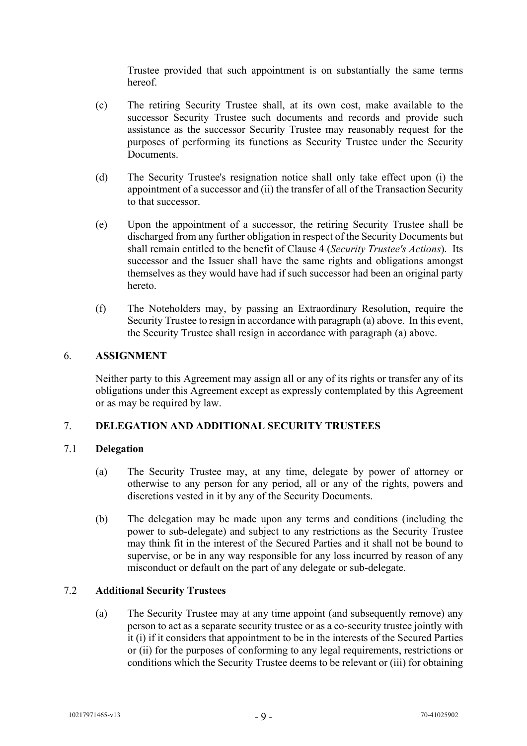Trustee provided that such appointment is on substantially the same terms hereof.

- (c) The retiring Security Trustee shall, at its own cost, make available to the successor Security Trustee such documents and records and provide such assistance as the successor Security Trustee may reasonably request for the purposes of performing its functions as Security Trustee under the Security **Documents**
- (d) The Security Trustee's resignation notice shall only take effect upon (i) the appointment of a successor and (ii) the transfer of all of the Transaction Security to that successor.
- (e) Upon the appointment of a successor, the retiring Security Trustee shall be discharged from any further obligation in respect of the Security Documents but shall remain entitled to the benefit of Clause [4](#page-6-0) (*Security Trustee's Actions*). Its successor and the Issuer shall have the same rights and obligations amongst themselves as they would have had if such successor had been an original party hereto.
- (f) The Noteholders may, by passing an Extraordinary Resolution, require the Security Trustee to resign in accordance with paragraph (a) above. In this event, the Security Trustee shall resign in accordance with paragraph (a) above.

# <span id="page-10-0"></span>6. **ASSIGNMENT**

Neither party to this Agreement may assign all or any of its rights or transfer any of its obligations under this Agreement except as expressly contemplated by this Agreement or as may be required by law.

# <span id="page-10-1"></span>7. **DELEGATION AND ADDITIONAL SECURITY TRUSTEES**

#### 7.1 **Delegation**

- (a) The Security Trustee may, at any time, delegate by power of attorney or otherwise to any person for any period, all or any of the rights, powers and discretions vested in it by any of the Security Documents.
- (b) The delegation may be made upon any terms and conditions (including the power to sub-delegate) and subject to any restrictions as the Security Trustee may think fit in the interest of the Secured Parties and it shall not be bound to supervise, or be in any way responsible for any loss incurred by reason of any misconduct or default on the part of any delegate or sub-delegate.

#### 7.2 **Additional Security Trustees**

(a) The Security Trustee may at any time appoint (and subsequently remove) any person to act as a separate security trustee or as a co-security trustee jointly with it (i) if it considers that appointment to be in the interests of the Secured Parties or (ii) for the purposes of conforming to any legal requirements, restrictions or conditions which the Security Trustee deems to be relevant or (iii) for obtaining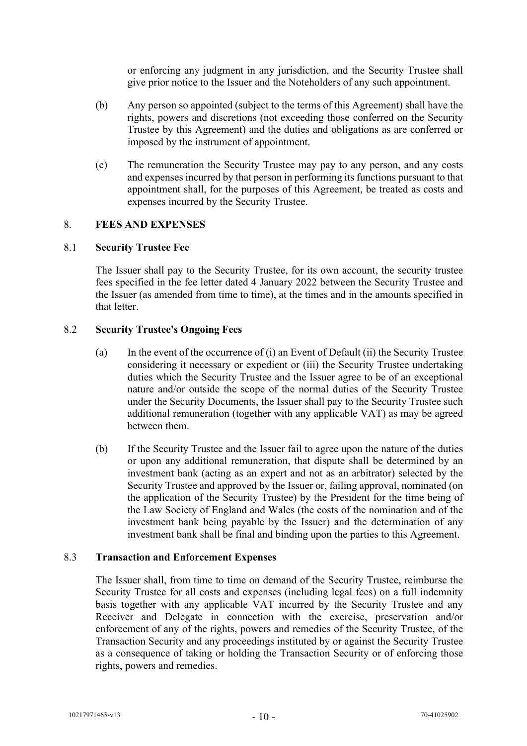or enforcing any judgment in any jurisdiction, and the Security Trustee shall give prior notice to the Issuer and the Noteholders of any such appointment.

- (b) Any person so appointed (subject to the terms of this Agreement) shall have the rights, powers and discretions (not exceeding those conferred on the Security Trustee by this Agreement) and the duties and obligations as are conferred or imposed by the instrument of appointment.
- (c) The remuneration the Security Trustee may pay to any person, and any costs and expenses incurred by that person in performing its functions pursuant to that appointment shall, for the purposes of this Agreement, be treated as costs and expenses incurred by the Security Trustee.

# <span id="page-11-0"></span>8. **FEES AND EXPENSES**

# 8.1 **Security Trustee Fee**

The Issuer shall pay to the Security Trustee, for its own account, the security trustee fees specified in the fee letter dated 4 January 2022 between the Security Trustee and the Issuer (as amended from time to time), at the times and in the amounts specified in that letter.

# 8.2 **Security Trustee's Ongoing Fees**

- (a) In the event of the occurrence of (i) an Event of Default (ii) the Security Trustee considering it necessary or expedient or (iii) the Security Trustee undertaking duties which the Security Trustee and the Issuer agree to be of an exceptional nature and/or outside the scope of the normal duties of the Security Trustee under the Security Documents, the Issuer shall pay to the Security Trustee such additional remuneration (together with any applicable VAT) as may be agreed between them.
- (b) If the Security Trustee and the Issuer fail to agree upon the nature of the duties or upon any additional remuneration, that dispute shall be determined by an investment bank (acting as an expert and not as an arbitrator) selected by the Security Trustee and approved by the Issuer or, failing approval, nominated (on the application of the Security Trustee) by the President for the time being of the Law Society of England and Wales (the costs of the nomination and of the investment bank being payable by the Issuer) and the determination of any investment bank shall be final and binding upon the parties to this Agreement.

#### 8.3 **Transaction and Enforcement Expenses**

The Issuer shall, from time to time on demand of the Security Trustee, reimburse the Security Trustee for all costs and expenses (including legal fees) on a full indemnity basis together with any applicable VAT incurred by the Security Trustee and any Receiver and Delegate in connection with the exercise, preservation and/or enforcement of any of the rights, powers and remedies of the Security Trustee, of the Transaction Security and any proceedings instituted by or against the Security Trustee as a consequence of taking or holding the Transaction Security or of enforcing those rights, powers and remedies.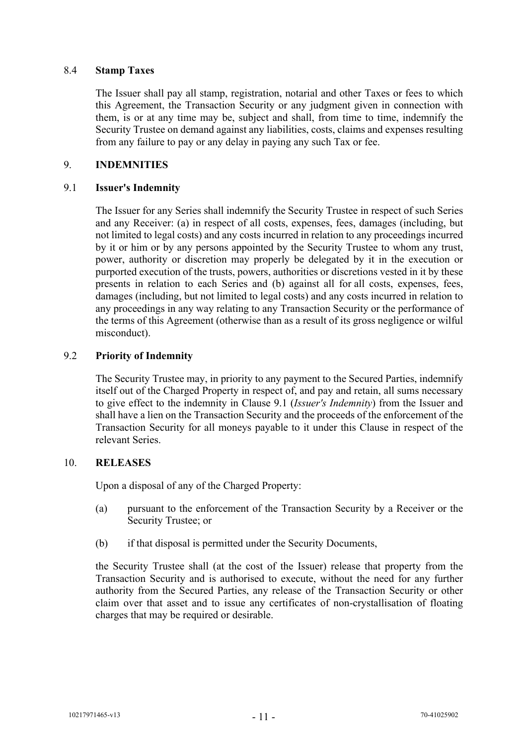#### 8.4 **Stamp Taxes**

The Issuer shall pay all stamp, registration, notarial and other Taxes or fees to which this Agreement, the Transaction Security or any judgment given in connection with them, is or at any time may be, subject and shall, from time to time, indemnify the Security Trustee on demand against any liabilities, costs, claims and expenses resulting from any failure to pay or any delay in paying any such Tax or fee.

# <span id="page-12-0"></span>9. **INDEMNITIES**

#### <span id="page-12-1"></span>9.1 **Issuer's Indemnity**

The Issuer for any Series shall indemnify the Security Trustee in respect of such Series and any Receiver: (a) in respect of all costs, expenses, fees, damages (including, but not limited to legal costs) and any costs incurred in relation to any proceedings incurred by it or him or by any persons appointed by the Security Trustee to whom any trust, power, authority or discretion may properly be delegated by it in the execution or purported execution of the trusts, powers, authorities or discretions vested in it by these presents in relation to each Series and (b) against all for all costs, expenses, fees, damages (including, but not limited to legal costs) and any costs incurred in relation to any proceedings in any way relating to any Transaction Security or the performance of the terms of this Agreement (otherwise than as a result of its gross negligence or wilful misconduct).

# 9.2 **Priority of Indemnity**

The Security Trustee may, in priority to any payment to the Secured Parties, indemnify itself out of the Charged Property in respect of, and pay and retain, all sums necessary to give effect to the indemnity in Clause [9.1](#page-12-1) (*Issuer's Indemnity*) from the Issuer and shall have a lien on the Transaction Security and the proceeds of the enforcement of the Transaction Security for all moneys payable to it under this Clause in respect of the relevant Series.

#### 10. **RELEASES**

Upon a disposal of any of the Charged Property:

- (a) pursuant to the enforcement of the Transaction Security by a Receiver or the Security Trustee; or
- (b) if that disposal is permitted under the Security Documents,

the Security Trustee shall (at the cost of the Issuer) release that property from the Transaction Security and is authorised to execute, without the need for any further authority from the Secured Parties, any release of the Transaction Security or other claim over that asset and to issue any certificates of non-crystallisation of floating charges that may be required or desirable.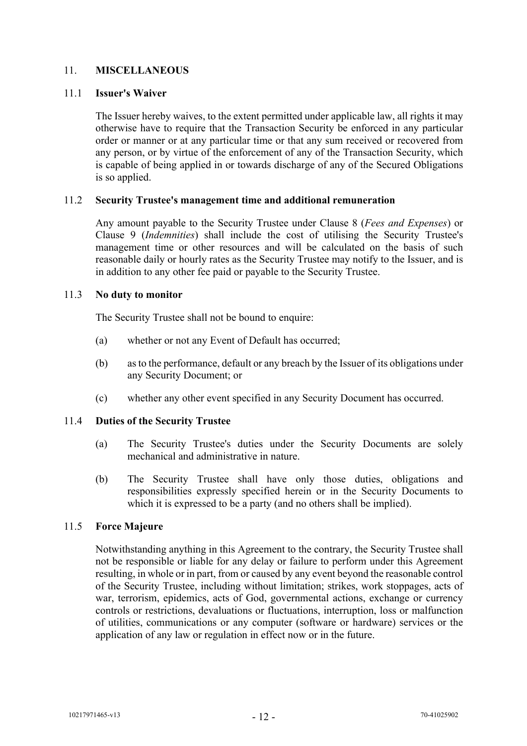# <span id="page-13-0"></span>11. **MISCELLANEOUS**

#### 11.1 **Issuer's Waiver**

The Issuer hereby waives, to the extent permitted under applicable law, all rights it may otherwise have to require that the Transaction Security be enforced in any particular order or manner or at any particular time or that any sum received or recovered from any person, or by virtue of the enforcement of any of the Transaction Security, which is capable of being applied in or towards discharge of any of the Secured Obligations is so applied.

#### 11.2 **Security Trustee's management time and additional remuneration**

Any amount payable to the Security Trustee under Clause [8](#page-11-0) (*Fees and Expenses*) or Clause [9](#page-12-0) (*Indemnities*) shall include the cost of utilising the Security Trustee's management time or other resources and will be calculated on the basis of such reasonable daily or hourly rates as the Security Trustee may notify to the Issuer, and is in addition to any other fee paid or payable to the Security Trustee.

#### 11.3 **No duty to monitor**

The Security Trustee shall not be bound to enquire:

- (a) whether or not any Event of Default has occurred;
- (b) as to the performance, default or any breach by the Issuer of its obligations under any Security Document; or
- (c) whether any other event specified in any Security Document has occurred.

#### 11.4 **Duties of the Security Trustee**

- (a) The Security Trustee's duties under the Security Documents are solely mechanical and administrative in nature.
- (b) The Security Trustee shall have only those duties, obligations and responsibilities expressly specified herein or in the Security Documents to which it is expressed to be a party (and no others shall be implied).

#### 11.5 **Force Majeure**

Notwithstanding anything in this Agreement to the contrary, the Security Trustee shall not be responsible or liable for any delay or failure to perform under this Agreement resulting, in whole or in part, from or caused by any event beyond the reasonable control of the Security Trustee, including without limitation; strikes, work stoppages, acts of war, terrorism, epidemics, acts of God, governmental actions, exchange or currency controls or restrictions, devaluations or fluctuations, interruption, loss or malfunction of utilities, communications or any computer (software or hardware) services or the application of any law or regulation in effect now or in the future.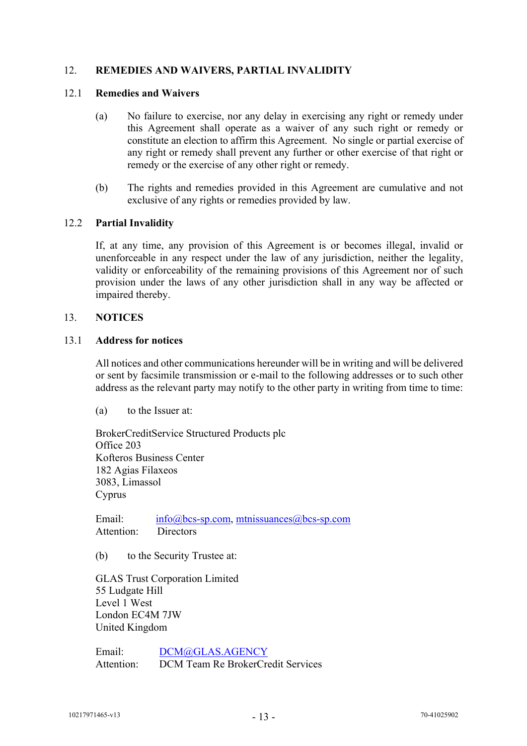# <span id="page-14-0"></span>12. **REMEDIES AND WAIVERS, PARTIAL INVALIDITY**

#### 12.1 **Remedies and Waivers**

- (a) No failure to exercise, nor any delay in exercising any right or remedy under this Agreement shall operate as a waiver of any such right or remedy or constitute an election to affirm this Agreement. No single or partial exercise of any right or remedy shall prevent any further or other exercise of that right or remedy or the exercise of any other right or remedy.
- (b) The rights and remedies provided in this Agreement are cumulative and not exclusive of any rights or remedies provided by law.

#### 12.2 **Partial Invalidity**

If, at any time, any provision of this Agreement is or becomes illegal, invalid or unenforceable in any respect under the law of any jurisdiction, neither the legality, validity or enforceability of the remaining provisions of this Agreement nor of such provision under the laws of any other jurisdiction shall in any way be affected or impaired thereby.

#### <span id="page-14-1"></span>13. **NOTICES**

#### 13.1 **Address for notices**

All notices and other communications hereunder will be in writing and will be delivered or sent by facsimile transmission or e-mail to the following addresses or to such other address as the relevant party may notify to the other party in writing from time to time:

(a) to the Issuer at:

BrokerCreditService Structured Products plc Office 203 Kofteros Business Center 182 Agias Filaxeos 3083, Limassol Cyprus

Email: [info@bcs-sp.com,](mailto:info@bcs-sp.com) [mtnissuances@bcs-sp.com](mailto:mtnissuances@bcs-sp.com) Attention: Directors

(b) to the Security Trustee at:

GLAS Trust Corporation Limited 55 Ludgate Hill Level 1 West London EC4M 7JW United Kingdom

Email: [DCM@GLAS.AGENCY](mailto:DCM@glas.agency) Attention: DCM Team Re BrokerCredit Services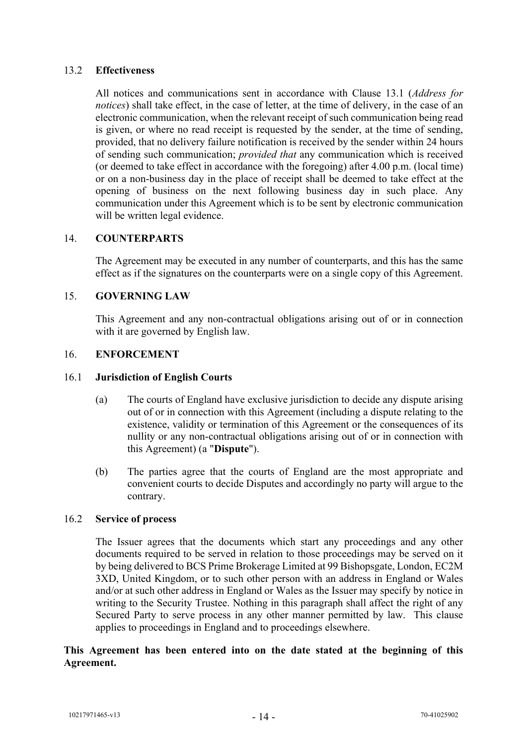# 13.2 **Effectiveness**

All notices and communications sent in accordance with Clause 13.1 (*Address for notices*) shall take effect, in the case of letter, at the time of delivery, in the case of an electronic communication, when the relevant receipt of such communication being read is given, or where no read receipt is requested by the sender, at the time of sending, provided, that no delivery failure notification is received by the sender within 24 hours of sending such communication; *provided that* any communication which is received (or deemed to take effect in accordance with the foregoing) after 4.00 p.m. (local time) or on a non-business day in the place of receipt shall be deemed to take effect at the opening of business on the next following business day in such place. Any communication under this Agreement which is to be sent by electronic communication will be written legal evidence.

# <span id="page-15-0"></span>14. **COUNTERPARTS**

The Agreement may be executed in any number of counterparts, and this has the same effect as if the signatures on the counterparts were on a single copy of this Agreement.

# <span id="page-15-1"></span>15. **GOVERNING LAW**

This Agreement and any non-contractual obligations arising out of or in connection with it are governed by English law.

#### <span id="page-15-2"></span>16. **ENFORCEMENT**

#### 16.1 **Jurisdiction of English Courts**

- (a) The courts of England have exclusive jurisdiction to decide any dispute arising out of or in connection with this Agreement (including a dispute relating to the existence, validity or termination of this Agreement or the consequences of its nullity or any non-contractual obligations arising out of or in connection with this Agreement) (a "**Dispute**").
- (b) The parties agree that the courts of England are the most appropriate and convenient courts to decide Disputes and accordingly no party will argue to the contrary.

# 16.2 **Service of process**

The Issuer agrees that the documents which start any proceedings and any other documents required to be served in relation to those proceedings may be served on it by being delivered to BCS Prime Brokerage Limited at 99 Bishopsgate, London, EC2M 3XD, United Kingdom, or to such other person with an address in England or Wales and/or at such other address in England or Wales as the Issuer may specify by notice in writing to the Security Trustee. Nothing in this paragraph shall affect the right of any Secured Party to serve process in any other manner permitted by law. This clause applies to proceedings in England and to proceedings elsewhere.

# **This Agreement has been entered into on the date stated at the beginning of this Agreement.**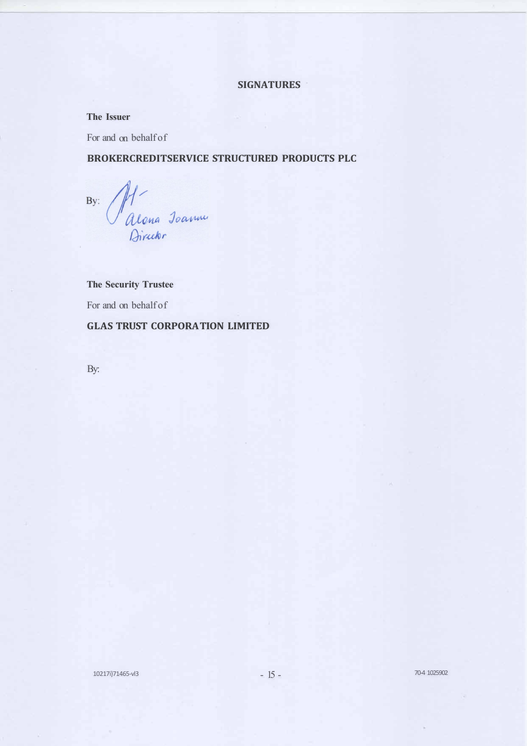# **SIGNATURES**

#### **The Issuer**

For and on behalf of

# **BROKERCREDITSERVICE STRUCTURED PRODUCTS PLC**

Riona Jeanne  $By:$ 

**The Security Trustee**  For and on behalf of **GLAS TRUST CORPORA TION LIMITED** 

By: